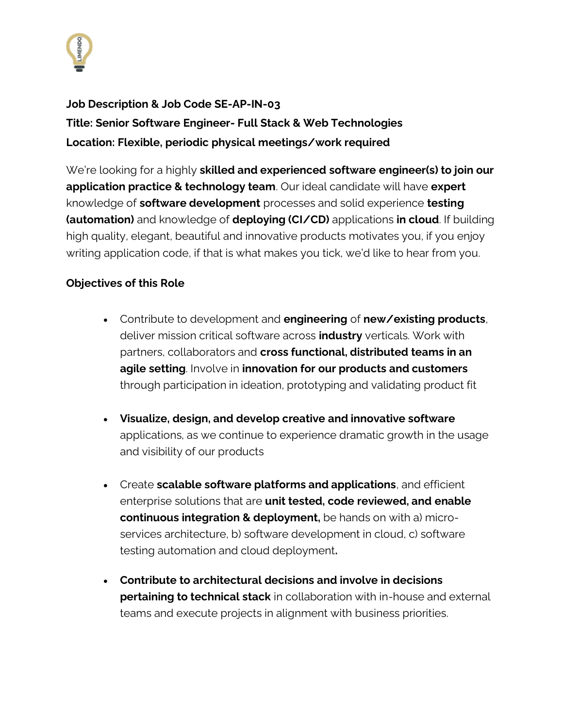

**Job Description & Job Code SE-AP-IN-03 Title: Senior Software Engineer- Full Stack & Web Technologies Location: Flexible, periodic physical meetings/work required**

We're looking for a highly **skilled and experienced software engineer(s) to join our application practice & technology team**. Our ideal candidate will have **expert** knowledge of **software development** processes and solid experience **testing (automation)** and knowledge of **deploying (CI/CD)** applications **in cloud**. If building high quality, elegant, beautiful and innovative products motivates you, if you enjoy writing application code, if that is what makes you tick, we'd like to hear from you.

## **Objectives of this Role**

- Contribute to development and **engineering** of **new/existing products**, deliver mission critical software across **industry** verticals. Work with partners, collaborators and **cross functional, distributed teams in an agile setting**. Involve in **innovation for our products and customers**  through participation in ideation, prototyping and validating product fit
- **Visualize, design, and develop creative and innovative software** applications, as we continue to experience dramatic growth in the usage and visibility of our products
- Create **scalable software platforms and applications**, and efficient enterprise solutions that are **unit tested, code reviewed, and enable continuous integration & deployment,** be hands on with a) microservices architecture, b) software development in cloud, c) software testing automation and cloud deployment**.**
- **Contribute to architectural decisions and involve in decisions pertaining to technical stack** in collaboration with in-house and external teams and execute projects in alignment with business priorities.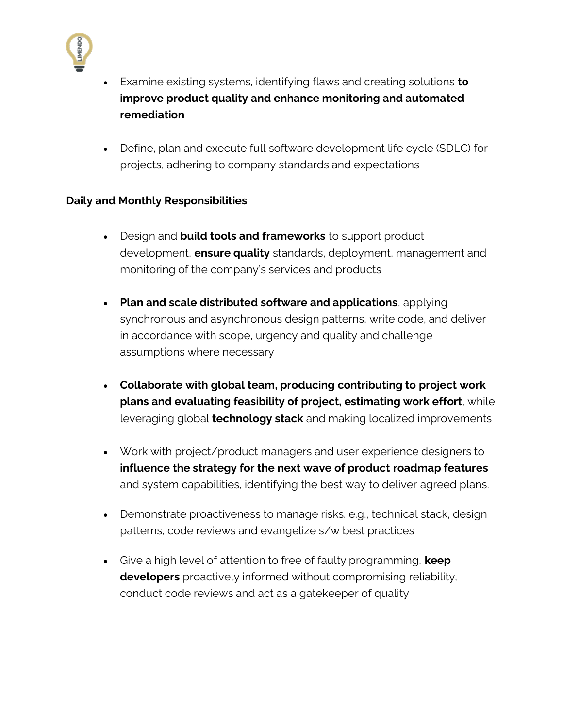

- Examine existing systems, identifying flaws and creating solutions **to improve product quality and enhance monitoring and automated remediation**
- Define, plan and execute full software development life cycle (SDLC) for projects, adhering to company standards and expectations

## **Daily and Monthly Responsibilities**

- Design and **build tools and frameworks** to support product development, **ensure quality** standards, deployment, management and monitoring of the company's services and products
- **Plan and scale distributed software and applications**, applying synchronous and asynchronous design patterns, write code, and deliver in accordance with scope, urgency and quality and challenge assumptions where necessary
- **Collaborate with global team, producing contributing to project work plans and evaluating feasibility of project, estimating work effort**, while leveraging global **technology stack** and making localized improvements
- Work with project/product managers and user experience designers to **influence the strategy for the next wave of product roadmap features** and system capabilities, identifying the best way to deliver agreed plans.
- Demonstrate proactiveness to manage risks. e.g., technical stack, design patterns, code reviews and evangelize s/w best practices
- Give a high level of attention to free of faulty programming, **keep developers** proactively informed without compromising reliability, conduct code reviews and act as a gatekeeper of quality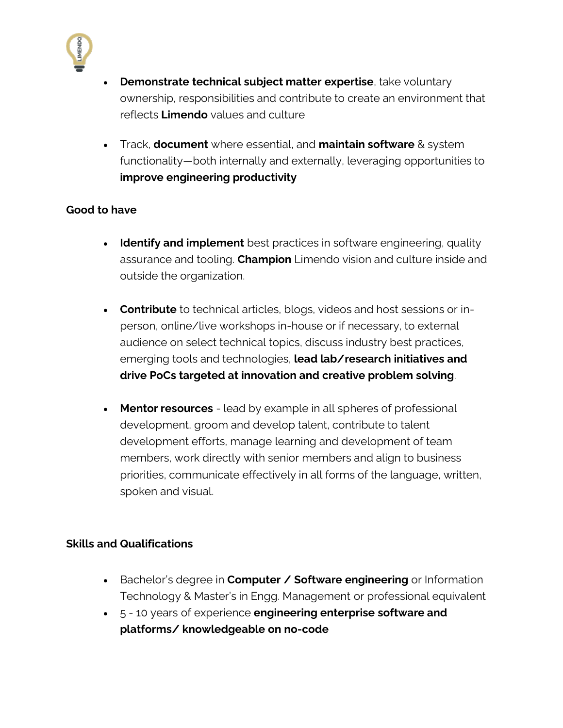

- **Demonstrate technical subject matter expertise**, take voluntary ownership, responsibilities and contribute to create an environment that reflects **Limendo** values and culture
- Track, **document** where essential, and **maintain software** & system functionality—both internally and externally, leveraging opportunities to **improve engineering productivity**

## **Good to have**

- **Identify and implement** best practices in software engineering, quality assurance and tooling. **Champion** Limendo vision and culture inside and outside the organization.
- **Contribute** to technical articles, blogs, videos and host sessions or inperson, online/live workshops in-house or if necessary, to external audience on select technical topics, discuss industry best practices, emerging tools and technologies, **lead lab/research initiatives and drive PoCs targeted at innovation and creative problem solving**.
- **Mentor resources** lead by example in all spheres of professional development, groom and develop talent, contribute to talent development efforts, manage learning and development of team members, work directly with senior members and align to business priorities, communicate effectively in all forms of the language, written, spoken and visual.

## **Skills and Qualifications**

- Bachelor's degree in **Computer / Software engineering** or Information Technology & Master's in Engg. Management or professional equivalent
- 5 10 years of experience **engineering enterprise software and platforms/ knowledgeable on no-code**